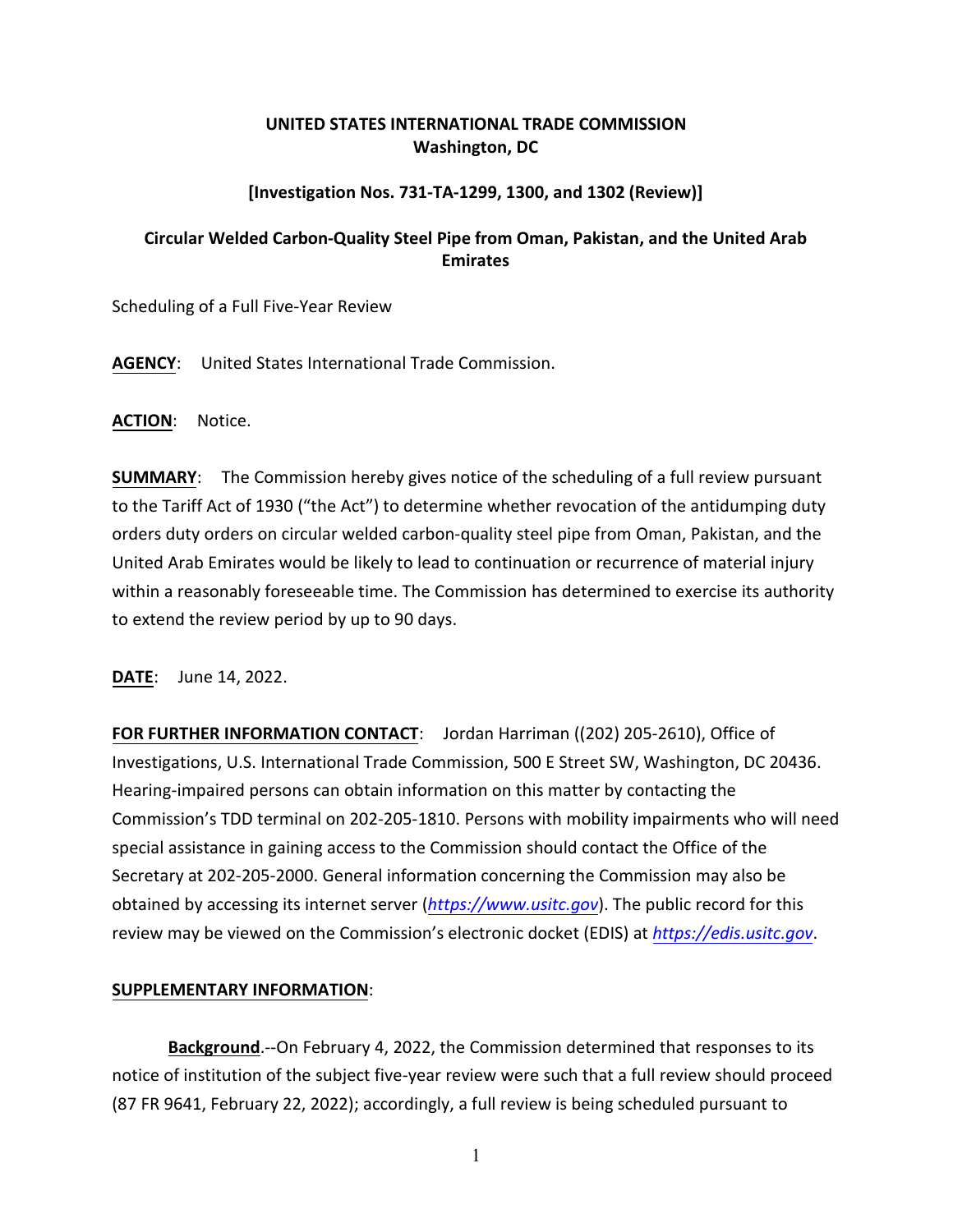## **UNITED STATES INTERNATIONAL TRADE COMMISSION Washington, DC**

## **[Investigation Nos. 731-TA-1299, 1300, and 1302 (Review)]**

## **Circular Welded Carbon-Quality Steel Pipe from Oman, Pakistan, and the United Arab Emirates**

Scheduling of a Full Five-Year Review

**AGENCY**: United States International Trade Commission.

**ACTION**: Notice.

**SUMMARY**: The Commission hereby gives notice of the scheduling of a full review pursuant to the Tariff Act of 1930 ("the Act") to determine whether revocation of the antidumping duty orders duty orders on circular welded carbon-quality steel pipe from Oman, Pakistan, and the United Arab Emirates would be likely to lead to continuation or recurrence of material injury within a reasonably foreseeable time. The Commission has determined to exercise its authority to extend the review period by up to 90 days.

**DATE**: June 14, 2022.

**FOR FURTHER INFORMATION CONTACT**: Jordan Harriman ((202) 205-2610), Office of Investigations, U.S. International Trade Commission, 500 E Street SW, Washington, DC 20436. Hearing-impaired persons can obtain information on this matter by contacting the Commission's TDD terminal on 202-205-1810. Persons with mobility impairments who will need special assistance in gaining access to the Commission should contact the Office of the Secretary at 202-205-2000. General information concerning the Commission may also be obtained by accessing its internet server (*[https://www.usitc.gov](https://www.usitc.gov/)*). The public record for this review may be viewed on the Commission's electronic docket (EDIS) at *[https://edis.usitc.gov](https://edis.usitc.gov/)*.

## **SUPPLEMENTARY INFORMATION**:

**Background**.--On February 4, 2022, the Commission determined that responses to its notice of institution of the subject five-year review were such that a full review should proceed (87 FR 9641, February 22, 2022); accordingly, a full review is being scheduled pursuant to

1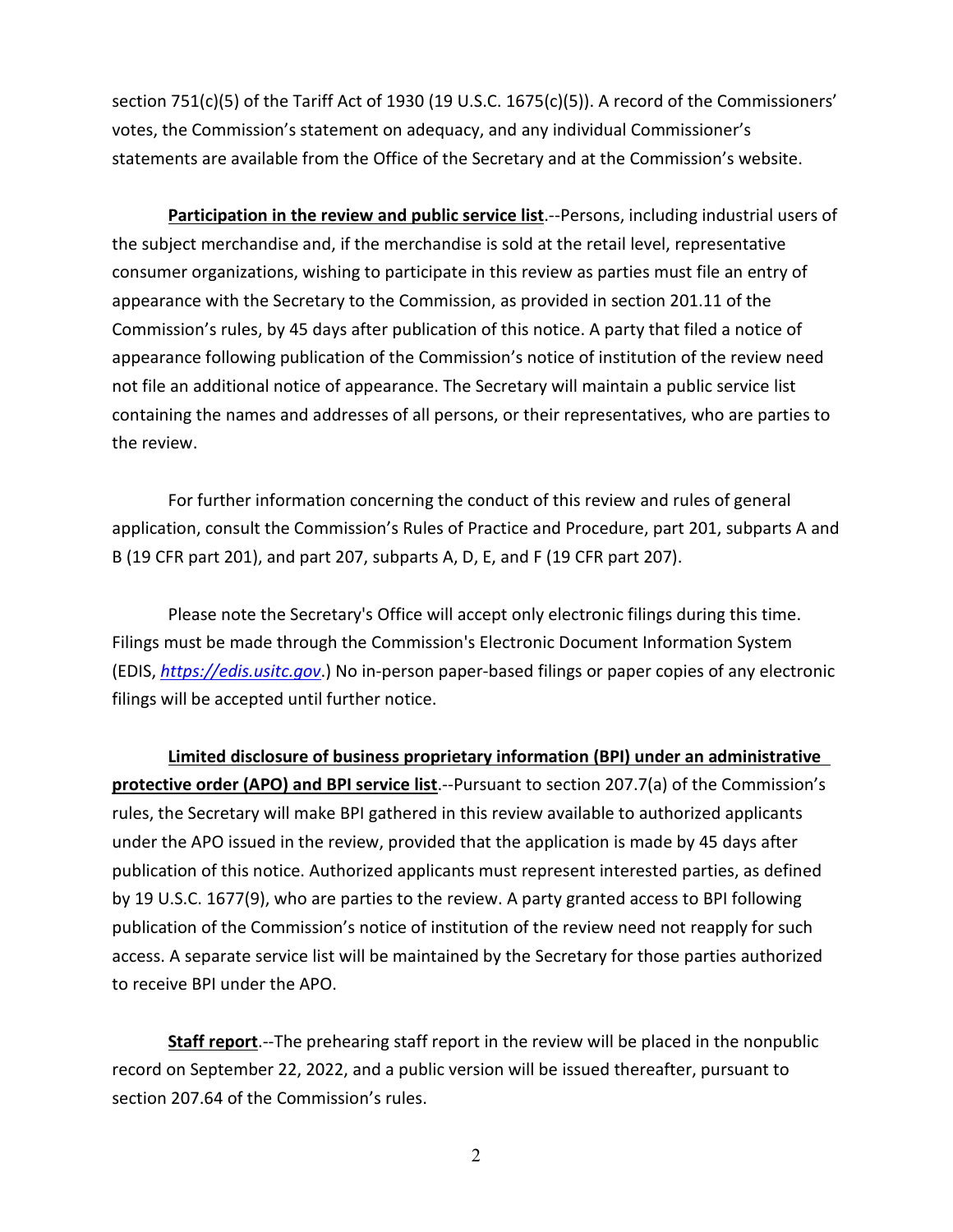section 751(c)(5) of the Tariff Act of 1930 (19 U.S.C. 1675(c)(5)). A record of the Commissioners' votes, the Commission's statement on adequacy, and any individual Commissioner's statements are available from the Office of the Secretary and at the Commission's website.

**Participation in the review and public service list**.--Persons, including industrial users of the subject merchandise and, if the merchandise is sold at the retail level, representative consumer organizations, wishing to participate in this review as parties must file an entry of appearance with the Secretary to the Commission, as provided in section 201.11 of the Commission's rules, by 45 days after publication of this notice. A party that filed a notice of appearance following publication of the Commission's notice of institution of the review need not file an additional notice of appearance. The Secretary will maintain a public service list containing the names and addresses of all persons, or their representatives, who are parties to the review.

For further information concerning the conduct of this review and rules of general application, consult the Commission's Rules of Practice and Procedure, part 201, subparts A and B (19 CFR part 201), and part 207, subparts A, D, E, and F (19 CFR part 207).

Please note the Secretary's Office will accept only electronic filings during this time. Filings must be made through the Commission's Electronic Document Information System (EDIS, *[https://edis.usitc.gov](https://edis.usitc.gov/)*.) No in-person paper-based filings or paper copies of any electronic filings will be accepted until further notice.

**Limited disclosure of business proprietary information (BPI) under an administrative protective order (APO) and BPI service list**.--Pursuant to section 207.7(a) of the Commission's rules, the Secretary will make BPI gathered in this review available to authorized applicants under the APO issued in the review, provided that the application is made by 45 days after publication of this notice. Authorized applicants must represent interested parties, as defined by 19 U.S.C. 1677(9), who are parties to the review. A party granted access to BPI following publication of the Commission's notice of institution of the review need not reapply for such access. A separate service list will be maintained by the Secretary for those parties authorized to receive BPI under the APO.

**Staff report**.--The prehearing staff report in the review will be placed in the nonpublic record on September 22, 2022, and a public version will be issued thereafter, pursuant to section 207.64 of the Commission's rules.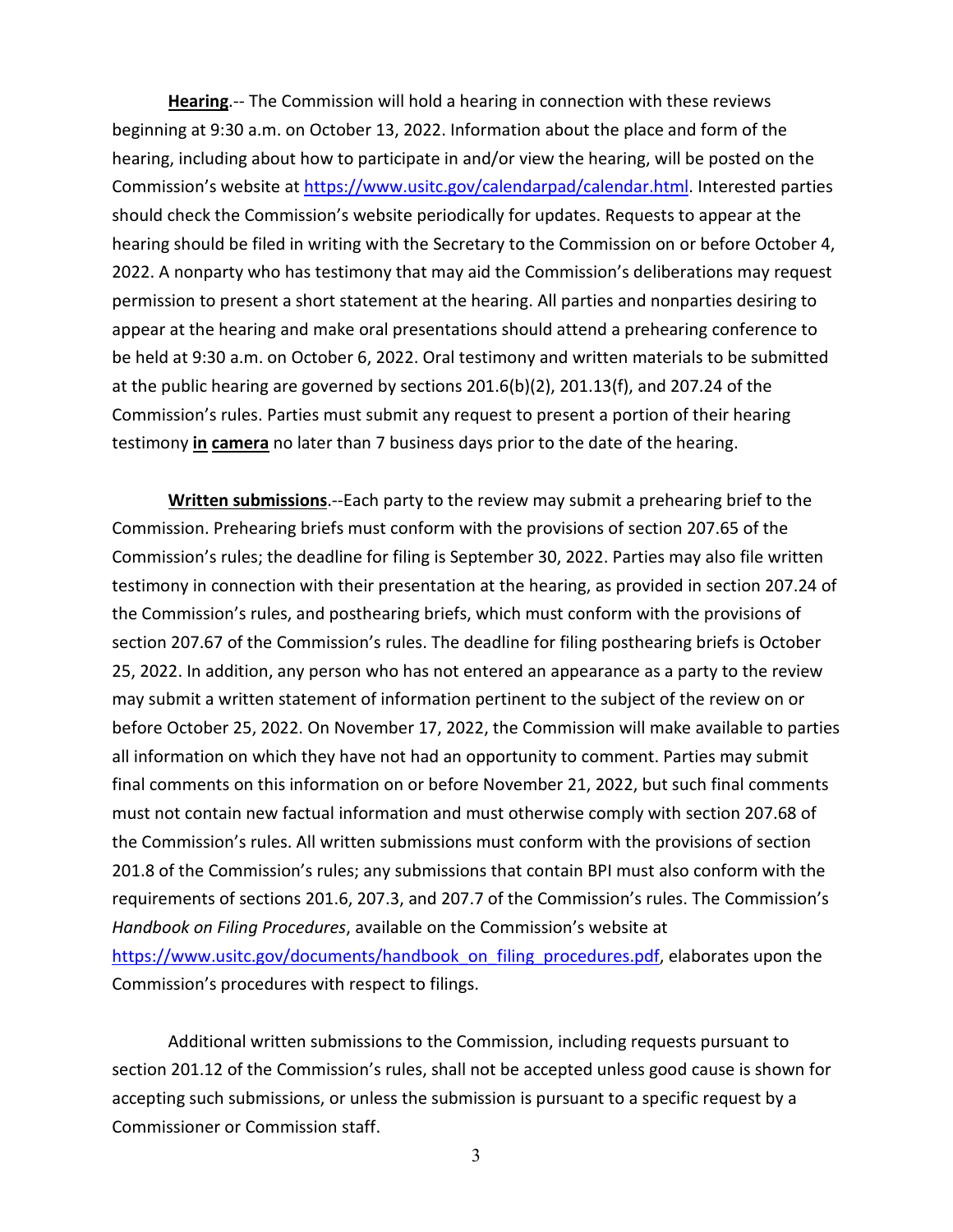**Hearing**.-- The Commission will hold a hearing in connection with these reviews beginning at 9:30 a.m. on October 13, 2022. Information about the place and form of the hearing, including about how to participate in and/or view the hearing, will be posted on the Commission's website at [https://www.usitc.gov/calendarpad/calendar.html.](https://www.usitc.gov/calendarpad/calendar.html) Interested parties should check the Commission's website periodically for updates. Requests to appear at the hearing should be filed in writing with the Secretary to the Commission on or before October 4, 2022. A nonparty who has testimony that may aid the Commission's deliberations may request permission to present a short statement at the hearing. All parties and nonparties desiring to appear at the hearing and make oral presentations should attend a prehearing conference to be held at 9:30 a.m. on October 6, 2022. Oral testimony and written materials to be submitted at the public hearing are governed by sections 201.6(b)(2), 201.13(f), and 207.24 of the Commission's rules. Parties must submit any request to present a portion of their hearing testimony **in camera** no later than 7 business days prior to the date of the hearing.

**Written submissions**.--Each party to the review may submit a prehearing brief to the Commission. Prehearing briefs must conform with the provisions of section 207.65 of the Commission's rules; the deadline for filing is September 30, 2022. Parties may also file written testimony in connection with their presentation at the hearing, as provided in section 207.24 of the Commission's rules, and posthearing briefs, which must conform with the provisions of section 207.67 of the Commission's rules. The deadline for filing posthearing briefs is October 25, 2022. In addition, any person who has not entered an appearance as a party to the review may submit a written statement of information pertinent to the subject of the review on or before October 25, 2022. On November 17, 2022, the Commission will make available to parties all information on which they have not had an opportunity to comment. Parties may submit final comments on this information on or before November 21, 2022, but such final comments must not contain new factual information and must otherwise comply with section 207.68 of the Commission's rules. All written submissions must conform with the provisions of section 201.8 of the Commission's rules; any submissions that contain BPI must also conform with the requirements of sections 201.6, 207.3, and 207.7 of the Commission's rules. The Commission's *Handbook on Filing Procedures*, available on the Commission's website at [https://www.usitc.gov/documents/handbook\\_on\\_filing\\_procedures.pdf,](https://www.usitc.gov/documents/handbook_on_filing_procedures.pdf) elaborates upon the Commission's procedures with respect to filings.

Additional written submissions to the Commission, including requests pursuant to section 201.12 of the Commission's rules, shall not be accepted unless good cause is shown for accepting such submissions, or unless the submission is pursuant to a specific request by a Commissioner or Commission staff.